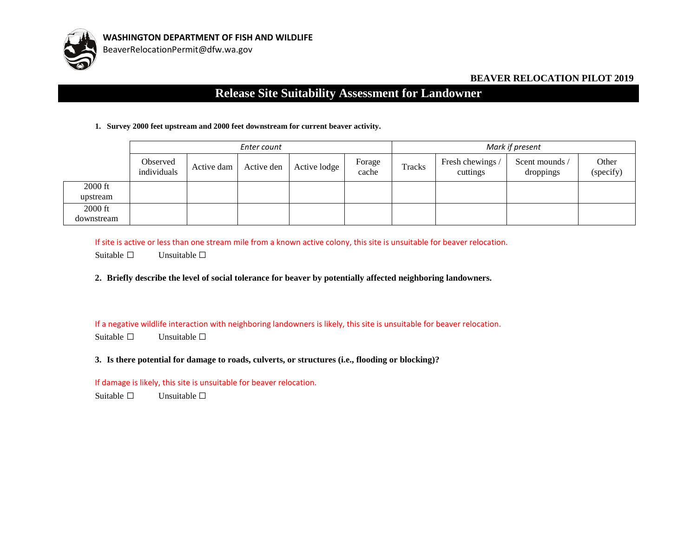

## **BEAVER RELOCATION PILOT 2019**

## **Release Site Suitability Assessment for Landowner**

## **1. Survey 2000 feet upstream and 2000 feet downstream for current beaver activity.**

|            | Enter count             |            |            |              |                 | Mark if present |                              |                             |                    |
|------------|-------------------------|------------|------------|--------------|-----------------|-----------------|------------------------------|-----------------------------|--------------------|
|            | Observed<br>individuals | Active dam | Active den | Active lodge | Forage<br>cache | Tracks          | Fresh chewings /<br>cuttings | Scent mounds /<br>droppings | Other<br>(specify) |
| 2000 ft    |                         |            |            |              |                 |                 |                              |                             |                    |
| upstream   |                         |            |            |              |                 |                 |                              |                             |                    |
| 2000 ft    |                         |            |            |              |                 |                 |                              |                             |                    |
| downstream |                         |            |            |              |                 |                 |                              |                             |                    |

If site is active or less than one stream mile from a known active colony, this site is unsuitable for beaver relocation.

Suitable  $\Box$  Unsuitable  $\Box$ 

**2. Briefly describe the level of social tolerance for beaver by potentially affected neighboring landowners.**

If a negative wildlife interaction with neighboring landowners is likely, this site is unsuitable for beaver relocation.

Suitable □ Unsuitable □

**3. Is there potential for damage to roads, culverts, or structures (i.e., flooding or blocking)?** 

If damage is likely, this site is unsuitable for beaver relocation.

Suitable  $□$  Unsuitable  $□$